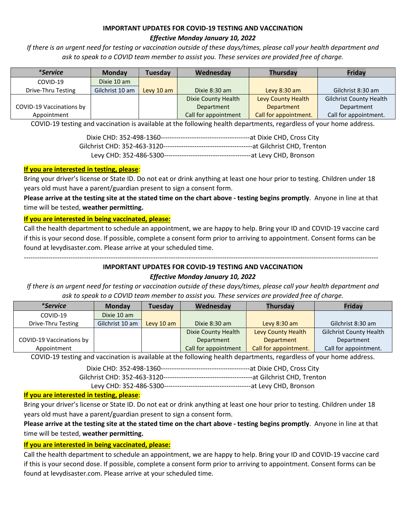### **IMPORTANT UPDATES FOR COVID-19 TESTING AND VACCINATION** *Effective Monday January 10, 2022*

*If there is an urgent need for testing or vaccination outside of these days/times, please call your health department and ask to speak to a COVID team member to assist you. These services are provided free of charge.*

| <i>*Service</i>          | <b>Monday</b>   | <b>Tuesday</b> | Wednesday            | <b>Thursday</b>       | Friday                         |
|--------------------------|-----------------|----------------|----------------------|-----------------------|--------------------------------|
| COVID-19                 | Dixie 10 am     |                |                      |                       |                                |
| Drive-Thru Testing       | Gilchrist 10 am | Levy 10 am     | Dixie 8:30 am        | Levy $8:30$ am        | Gilchrist 8:30 am              |
|                          |                 |                | Dixie County Health  | Levy County Health    | <b>Gilchrist County Health</b> |
| COVID-19 Vaccinations by |                 |                | Department           | <b>Department</b>     | Department                     |
| Appointment              |                 |                | Call for appointment | Call for appointment. | Call for appointment.          |

COVID-19 testing and vaccination is available at the following health departments, regardless of your home address.

### **If you are interested in testing, please**:

Bring your driver's license or State ID. Do not eat or drink anything at least one hour prior to testing. Children under 18 years old must have a parent/guardian present to sign a consent form.

**Please arrive at the testing site at the stated time on the chart above - testing begins promptly**. Anyone in line at that time will be tested, **weather permitting.**

### **If you are interested in being vaccinated, please:**

Call the health department to schedule an appointment, we are happy to help. Bring your ID and COVID-19 vaccine card if this is your second dose. If possible, complete a consent form prior to arriving to appointment. Consent forms can be found at levydisaster.com. Please arrive at your scheduled time.

---------------------------------------------------------------------------------------------------------------------------------------------------------------

### **IMPORTANT UPDATES FOR COVID-19 TESTING AND VACCINATION**

### *Effective Monday January 10, 2022*

*If there is an urgent need for testing or vaccination outside of these days/times, please call your health department and ask to speak to a COVID team member to assist you. These services are provided free of charge.*

| <i>*Service</i>          | <b>Monday</b>   | <b>Tuesday</b> | Wednesday            | <b>Thursday</b>       | <b>Fridav</b>                  |
|--------------------------|-----------------|----------------|----------------------|-----------------------|--------------------------------|
| COVID-19                 | Dixie 10 am     |                |                      |                       |                                |
| Drive-Thru Testing       | Gilchrist 10 am | Levy 10 am     | Dixie 8:30 am        | Levy $8:30$ am        | Gilchrist 8:30 am              |
|                          |                 |                | Dixie County Health  | Levy County Health    | <b>Gilchrist County Health</b> |
| COVID-19 Vaccinations by |                 |                | Department           | Department            | Department                     |
| Appointment              |                 |                | Call for appointment | Call for appointment. | Call for appointment.          |

COVID-19 testing and vaccination is available at the following health departments, regardless of your home address.

Dixie CHD: 352-498-1360----------------------------------------at Dixie CHD, Cross City

Gilchrist CHD: 352-463-3120----------------------------------------at Gilchrist CHD, Trenton

Levy CHD: 352-486-5300---------------------------------------at Levy CHD, Bronson

### **If you are interested in testing, please**:

Bring your driver's license or State ID. Do not eat or drink anything at least one hour prior to testing. Children under 18 years old must have a parent/guardian present to sign a consent form.

## **Please arrive at the testing site at the stated time on the chart above - testing begins promptly**. Anyone in line at that time will be tested, **weather permitting.**

### **If you are interested in being vaccinated, please:**

Call the health department to schedule an appointment, we are happy to help. Bring your ID and COVID-19 vaccine card if this is your second dose. If possible, complete a consent form prior to arriving to appointment. Consent forms can be found at levydisaster.com. Please arrive at your scheduled time.